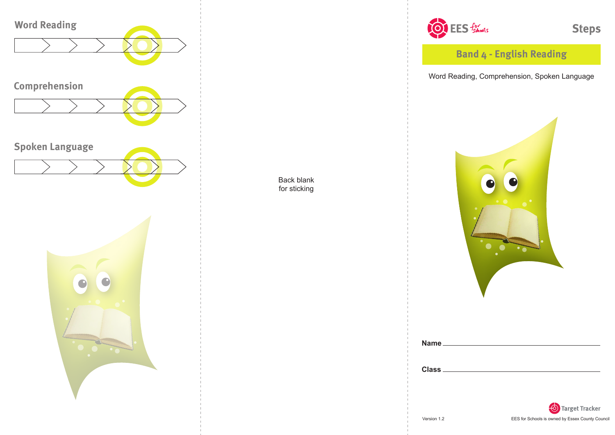

Back blank for sticking



**Steps** 

**Band 4 - English Reading**

Word Reading, Comprehension, Spoken Language



| <b>Name</b>  |  |  |  |
|--------------|--|--|--|
|              |  |  |  |
|              |  |  |  |
| <b>Class</b> |  |  |  |
|              |  |  |  |